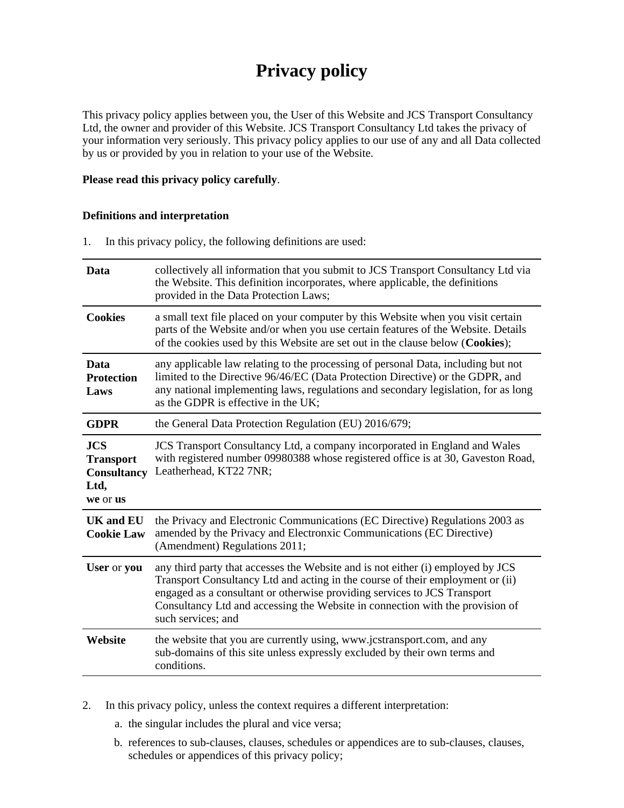# **Privacy policy**

This privacy policy applies between you, the User of this Website and JCS Transport Consultancy Ltd, the owner and provider of this Website. JCS Transport Consultancy Ltd takes the privacy of your information very seriously. This privacy policy applies to our use of any and all Data collected by us or provided by you in relation to your use of the Website.

# **Please read this privacy policy carefully**.

# **Definitions and interpretation**

1. In this privacy policy, the following definitions are used:

| Data                                                                     | collectively all information that you submit to JCS Transport Consultancy Ltd via<br>the Website. This definition incorporates, where applicable, the definitions<br>provided in the Data Protection Laws;                                                                                                                                           |  |
|--------------------------------------------------------------------------|------------------------------------------------------------------------------------------------------------------------------------------------------------------------------------------------------------------------------------------------------------------------------------------------------------------------------------------------------|--|
| <b>Cookies</b>                                                           | a small text file placed on your computer by this Website when you visit certain<br>parts of the Website and/or when you use certain features of the Website. Details<br>of the cookies used by this Website are set out in the clause below (Cookies);                                                                                              |  |
| Data<br><b>Protection</b><br>Laws                                        | any applicable law relating to the processing of personal Data, including but not<br>limited to the Directive 96/46/EC (Data Protection Directive) or the GDPR, and<br>any national implementing laws, regulations and secondary legislation, for as long<br>as the GDPR is effective in the UK;                                                     |  |
| <b>GDPR</b>                                                              | the General Data Protection Regulation (EU) 2016/679;                                                                                                                                                                                                                                                                                                |  |
| <b>JCS</b><br><b>Transport</b><br><b>Consultancy</b><br>Ltd,<br>we or us | JCS Transport Consultancy Ltd, a company incorporated in England and Wales<br>with registered number 09980388 whose registered office is at 30, Gaveston Road,<br>Leatherhead, KT22 7NR;                                                                                                                                                             |  |
| <b>UK</b> and <b>EU</b><br><b>Cookie Law</b>                             | the Privacy and Electronic Communications (EC Directive) Regulations 2003 as<br>amended by the Privacy and Electronxic Communications (EC Directive)<br>(Amendment) Regulations 2011;                                                                                                                                                                |  |
| User or you                                                              | any third party that accesses the Website and is not either (i) employed by JCS<br>Transport Consultancy Ltd and acting in the course of their employment or (ii)<br>engaged as a consultant or otherwise providing services to JCS Transport<br>Consultancy Ltd and accessing the Website in connection with the provision of<br>such services; and |  |
| Website                                                                  | the website that you are currently using, www.jcstransport.com, and any<br>sub-domains of this site unless expressly excluded by their own terms and<br>conditions.                                                                                                                                                                                  |  |
|                                                                          |                                                                                                                                                                                                                                                                                                                                                      |  |

- 2. In this privacy policy, unless the context requires a different interpretation:
	- a. the singular includes the plural and vice versa;
	- b. references to sub-clauses, clauses, schedules or appendices are to sub-clauses, clauses, schedules or appendices of this privacy policy;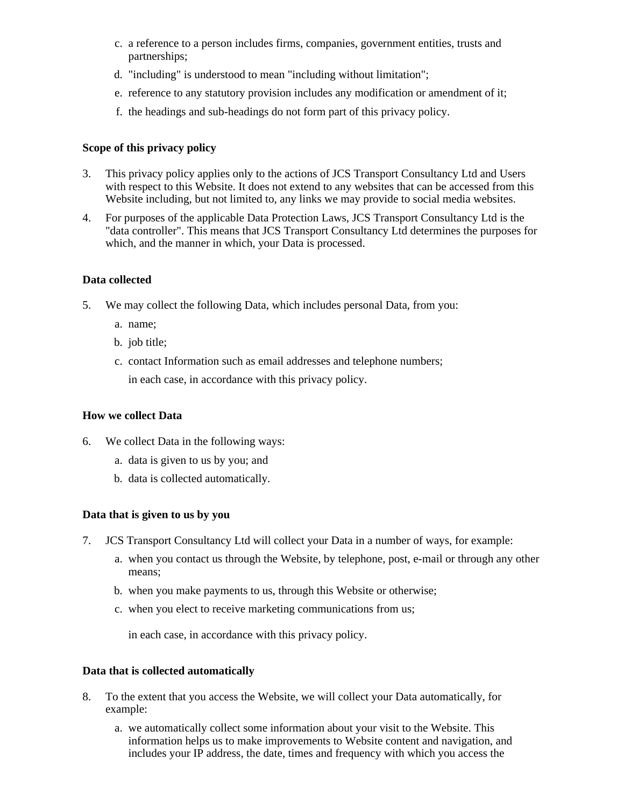- c. a reference to a person includes firms, companies, government entities, trusts and partnerships;
- d. "including" is understood to mean "including without limitation";
- e. reference to any statutory provision includes any modification or amendment of it;
- f. the headings and sub-headings do not form part of this privacy policy.

# **Scope of this privacy policy**

- 3. This privacy policy applies only to the actions of JCS Transport Consultancy Ltd and Users with respect to this Website. It does not extend to any websites that can be accessed from this Website including, but not limited to, any links we may provide to social media websites.
- 4. For purposes of the applicable Data Protection Laws, JCS Transport Consultancy Ltd is the "data controller". This means that JCS Transport Consultancy Ltd determines the purposes for which, and the manner in which, your Data is processed.

# **Data collected**

- 5. We may collect the following Data, which includes personal Data, from you:
	- a. name;
	- b. job title;
	- c. contact Information such as email addresses and telephone numbers; in each case, in accordance with this privacy policy.

# **How we collect Data**

- 6. We collect Data in the following ways:
	- a. data is given to us by you; and
	- b. data is collected automatically.

# **Data that is given to us by you**

- 7. JCS Transport Consultancy Ltd will collect your Data in a number of ways, for example:
	- a. when you contact us through the Website, by telephone, post, e-mail or through any other means;
	- b. when you make payments to us, through this Website or otherwise;
	- c. when you elect to receive marketing communications from us;

in each case, in accordance with this privacy policy.

# **Data that is collected automatically**

- 8. To the extent that you access the Website, we will collect your Data automatically, for example:
	- a. we automatically collect some information about your visit to the Website. This information helps us to make improvements to Website content and navigation, and includes your IP address, the date, times and frequency with which you access the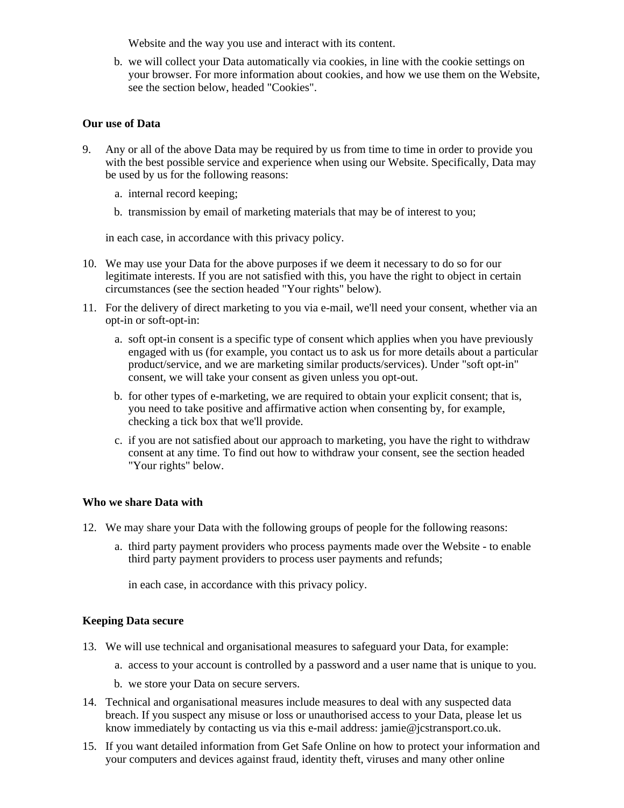Website and the way you use and interact with its content.

b. we will collect your Data automatically via cookies, in line with the cookie settings on your browser. For more information about cookies, and how we use them on the Website, see the section below, headed "Cookies".

#### **Our use of Data**

- 9. Any or all of the above Data may be required by us from time to time in order to provide you with the best possible service and experience when using our Website. Specifically, Data may be used by us for the following reasons:
	- a. internal record keeping;
	- b. transmission by email of marketing materials that may be of interest to you;

in each case, in accordance with this privacy policy.

- 10. We may use your Data for the above purposes if we deem it necessary to do so for our legitimate interests. If you are not satisfied with this, you have the right to object in certain circumstances (see the section headed "Your rights" below).
- 11. For the delivery of direct marketing to you via e-mail, we'll need your consent, whether via an opt-in or soft-opt-in:
	- a. soft opt-in consent is a specific type of consent which applies when you have previously engaged with us (for example, you contact us to ask us for more details about a particular product/service, and we are marketing similar products/services). Under "soft opt-in" consent, we will take your consent as given unless you opt-out.
	- b. for other types of e-marketing, we are required to obtain your explicit consent; that is, you need to take positive and affirmative action when consenting by, for example, checking a tick box that we'll provide.
	- c. if you are not satisfied about our approach to marketing, you have the right to withdraw consent at any time. To find out how to withdraw your consent, see the section headed "Your rights" below.

# **Who we share Data with**

- 12. We may share your Data with the following groups of people for the following reasons:
	- a. third party payment providers who process payments made over the Website to enable third party payment providers to process user payments and refunds;

in each case, in accordance with this privacy policy.

#### **Keeping Data secure**

- 13. We will use technical and organisational measures to safeguard your Data, for example:
	- a. access to your account is controlled by a password and a user name that is unique to you.
	- b. we store your Data on secure servers.
- 14. Technical and organisational measures include measures to deal with any suspected data breach. If you suspect any misuse or loss or unauthorised access to your Data, please let us know immediately by contacting us via this e-mail address: jamie@jcstransport.co.uk.
- 15. If you want detailed information from Get Safe Online on how to protect your information and your computers and devices against fraud, identity theft, viruses and many other online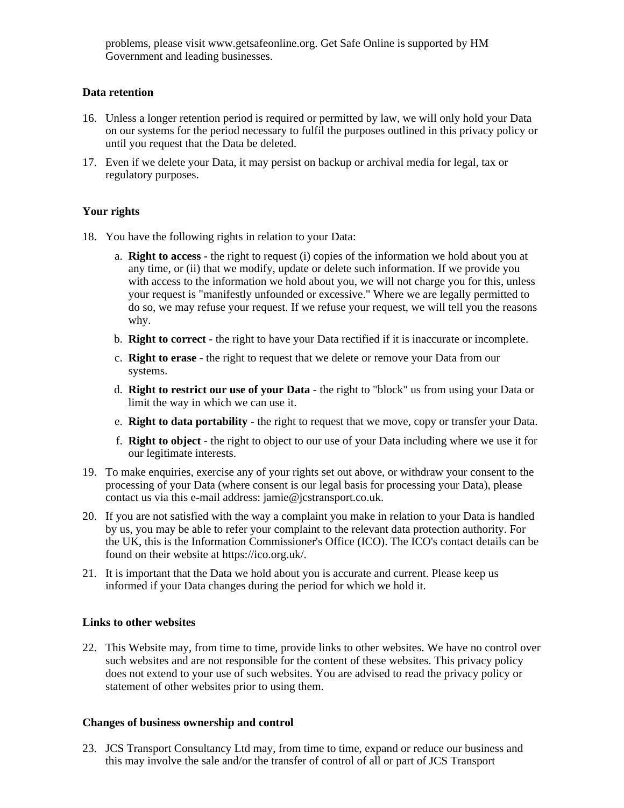problems, please visit www.getsafeonline.org. Get Safe Online is supported by HM Government and leading businesses.

# **Data retention**

- 16. Unless a longer retention period is required or permitted by law, we will only hold your Data on our systems for the period necessary to fulfil the purposes outlined in this privacy policy or until you request that the Data be deleted.
- 17. Even if we delete your Data, it may persist on backup or archival media for legal, tax or regulatory purposes.

# **Your rights**

- 18. You have the following rights in relation to your Data:
	- a. **Right to access** the right to request (i) copies of the information we hold about you at any time, or (ii) that we modify, update or delete such information. If we provide you with access to the information we hold about you, we will not charge you for this, unless your request is "manifestly unfounded or excessive." Where we are legally permitted to do so, we may refuse your request. If we refuse your request, we will tell you the reasons why.
	- b. **Right to correct** the right to have your Data rectified if it is inaccurate or incomplete.
	- c. **Right to erase** the right to request that we delete or remove your Data from our systems.
	- d. **Right to restrict our use of your Data** the right to "block" us from using your Data or limit the way in which we can use it.
	- e. **Right to data portability** the right to request that we move, copy or transfer your Data.
	- f. **Right to object** the right to object to our use of your Data including where we use it for our legitimate interests.
- 19. To make enquiries, exercise any of your rights set out above, or withdraw your consent to the processing of your Data (where consent is our legal basis for processing your Data), please contact us via this e-mail address: jamie@jcstransport.co.uk.
- 20. If you are not satisfied with the way a complaint you make in relation to your Data is handled by us, you may be able to refer your complaint to the relevant data protection authority. For the UK, this is the Information Commissioner's Office (ICO). The ICO's contact details can be found on their website at https://ico.org.uk/.
- 21. It is important that the Data we hold about you is accurate and current. Please keep us informed if your Data changes during the period for which we hold it.

# **Links to other websites**

22. This Website may, from time to time, provide links to other websites. We have no control over such websites and are not responsible for the content of these websites. This privacy policy does not extend to your use of such websites. You are advised to read the privacy policy or statement of other websites prior to using them.

# **Changes of business ownership and control**

23. JCS Transport Consultancy Ltd may, from time to time, expand or reduce our business and this may involve the sale and/or the transfer of control of all or part of JCS Transport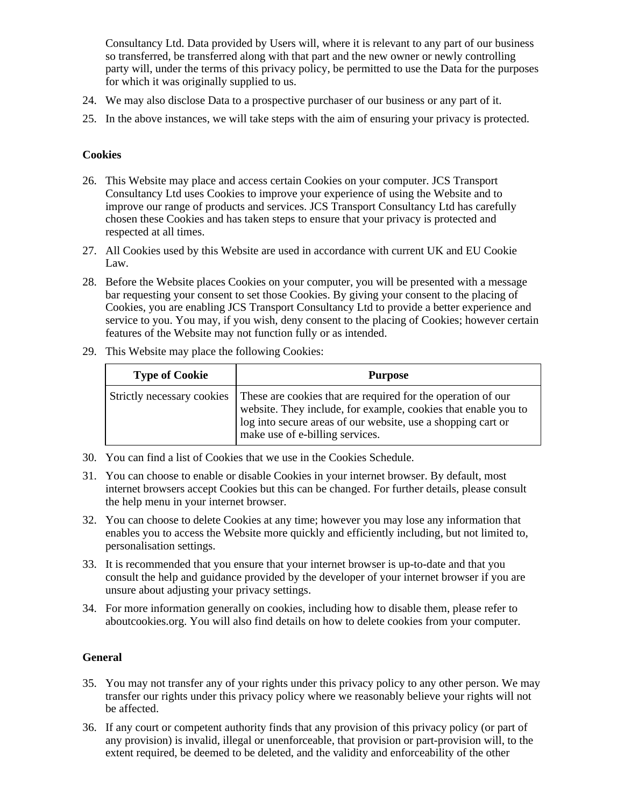Consultancy Ltd. Data provided by Users will, where it is relevant to any part of our business so transferred, be transferred along with that part and the new owner or newly controlling party will, under the terms of this privacy policy, be permitted to use the Data for the purposes for which it was originally supplied to us.

- 24. We may also disclose Data to a prospective purchaser of our business or any part of it.
- 25. In the above instances, we will take steps with the aim of ensuring your privacy is protected.

# **Cookies**

- 26. This Website may place and access certain Cookies on your computer. JCS Transport Consultancy Ltd uses Cookies to improve your experience of using the Website and to improve our range of products and services. JCS Transport Consultancy Ltd has carefully chosen these Cookies and has taken steps to ensure that your privacy is protected and respected at all times.
- 27. All Cookies used by this Website are used in accordance with current UK and EU Cookie Law.
- 28. Before the Website places Cookies on your computer, you will be presented with a message bar requesting your consent to set those Cookies. By giving your consent to the placing of Cookies, you are enabling JCS Transport Consultancy Ltd to provide a better experience and service to you. You may, if you wish, deny consent to the placing of Cookies; however certain features of the Website may not function fully or as intended.
- 29. This Website may place the following Cookies:

| <b>Type of Cookie</b> | <b>Purpose</b>                                                                                                                                                                                                                                               |
|-----------------------|--------------------------------------------------------------------------------------------------------------------------------------------------------------------------------------------------------------------------------------------------------------|
|                       | Strictly necessary cookies These are cookies that are required for the operation of our<br>website. They include, for example, cookies that enable you to<br>log into secure areas of our website, use a shopping cart or<br>make use of e-billing services. |

- 30. You can find a list of Cookies that we use in the Cookies Schedule.
- 31. You can choose to enable or disable Cookies in your internet browser. By default, most internet browsers accept Cookies but this can be changed. For further details, please consult the help menu in your internet browser.
- 32. You can choose to delete Cookies at any time; however you may lose any information that enables you to access the Website more quickly and efficiently including, but not limited to, personalisation settings.
- 33. It is recommended that you ensure that your internet browser is up-to-date and that you consult the help and guidance provided by the developer of your internet browser if you are unsure about adjusting your privacy settings.
- 34. For more information generally on cookies, including how to disable them, please refer to aboutcookies.org. You will also find details on how to delete cookies from your computer.

# **General**

- 35. You may not transfer any of your rights under this privacy policy to any other person. We may transfer our rights under this privacy policy where we reasonably believe your rights will not be affected.
- 36. If any court or competent authority finds that any provision of this privacy policy (or part of any provision) is invalid, illegal or unenforceable, that provision or part-provision will, to the extent required, be deemed to be deleted, and the validity and enforceability of the other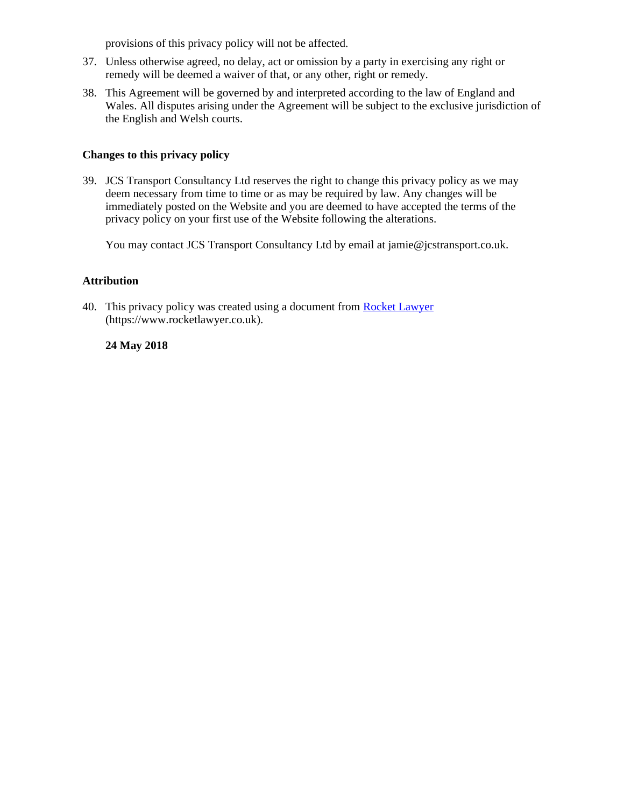provisions of this privacy policy will not be affected.

- 37. Unless otherwise agreed, no delay, act or omission by a party in exercising any right or remedy will be deemed a waiver of that, or any other, right or remedy.
- 38. This Agreement will be governed by and interpreted according to the law of England and Wales. All disputes arising under the Agreement will be subject to the exclusive jurisdiction of the English and Welsh courts.

# **Changes to this privacy policy**

39. JCS Transport Consultancy Ltd reserves the right to change this privacy policy as we may deem necessary from time to time or as may be required by law. Any changes will be immediately posted on the Website and you are deemed to have accepted the terms of the privacy policy on your first use of the Website following the alterations.

You may contact JCS Transport Consultancy Ltd by email at jamie@jcstransport.co.uk.

# **Attribution**

40. This privacy policy was created using a document from [Rocket Lawyer](https://www.rocketlawyer.co.uk/) (https://www.rocketlawyer.co.uk).

# **24 May 2018**